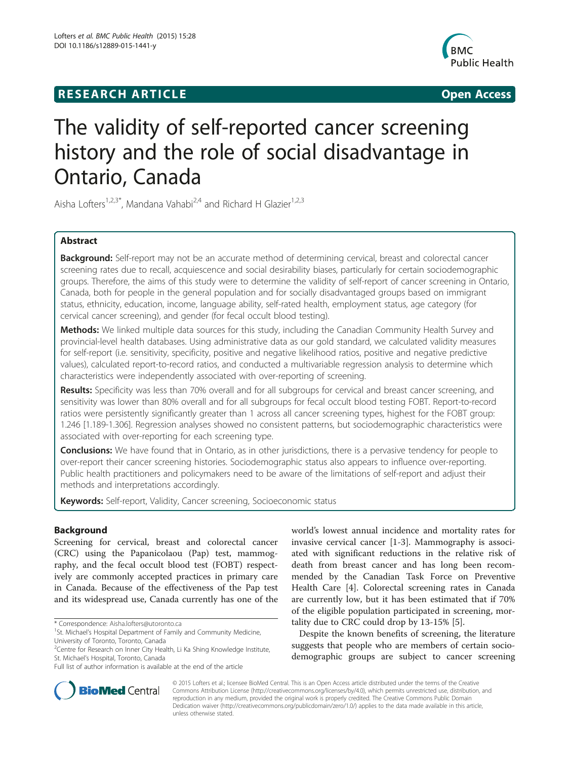# **RESEARCH ARTICLE Example 2018 12:00 Open Access**



# The validity of self-reported cancer screening history and the role of social disadvantage in Ontario, Canada

Aisha Lofters<sup>1,2,3\*</sup>, Mandana Vahabi<sup>2,4</sup> and Richard H Glazier<sup>1,2,3</sup>

# Abstract

Background: Self-report may not be an accurate method of determining cervical, breast and colorectal cancer screening rates due to recall, acquiescence and social desirability biases, particularly for certain sociodemographic groups. Therefore, the aims of this study were to determine the validity of self-report of cancer screening in Ontario, Canada, both for people in the general population and for socially disadvantaged groups based on immigrant status, ethnicity, education, income, language ability, self-rated health, employment status, age category (for cervical cancer screening), and gender (for fecal occult blood testing).

Methods: We linked multiple data sources for this study, including the Canadian Community Health Survey and provincial-level health databases. Using administrative data as our gold standard, we calculated validity measures for self-report (i.e. sensitivity, specificity, positive and negative likelihood ratios, positive and negative predictive values), calculated report-to-record ratios, and conducted a multivariable regression analysis to determine which characteristics were independently associated with over-reporting of screening.

Results: Specificity was less than 70% overall and for all subgroups for cervical and breast cancer screening, and sensitivity was lower than 80% overall and for all subgroups for fecal occult blood testing FOBT. Report-to-record ratios were persistently significantly greater than 1 across all cancer screening types, highest for the FOBT group: 1.246 [1.189-1.306]. Regression analyses showed no consistent patterns, but sociodemographic characteristics were associated with over-reporting for each screening type.

**Conclusions:** We have found that in Ontario, as in other jurisdictions, there is a pervasive tendency for people to over-report their cancer screening histories. Sociodemographic status also appears to influence over-reporting. Public health practitioners and policymakers need to be aware of the limitations of self-report and adjust their methods and interpretations accordingly.

Keywords: Self-report, Validity, Cancer screening, Socioeconomic status

# Background

Screening for cervical, breast and colorectal cancer (CRC) using the Papanicolaou (Pap) test, mammography, and the fecal occult blood test (FOBT) respectively are commonly accepted practices in primary care in Canada. Because of the effectiveness of the Pap test and its widespread use, Canada currently has one of the

world's lowest annual incidence and mortality rates for invasive cervical cancer [[1-3\]](#page-9-0). Mammography is associated with significant reductions in the relative risk of death from breast cancer and has long been recommended by the Canadian Task Force on Preventive Health Care [\[4](#page-9-0)]. Colorectal screening rates in Canada are currently low, but it has been estimated that if 70% of the eligible population participated in screening, mortality due to CRC could drop by 13-15% [[5\]](#page-9-0).

Despite the known benefits of screening, the literature suggests that people who are members of certain sociodemographic groups are subject to cancer screening



© 2015 Lofters et al.; licensee BioMed Central. This is an Open Access article distributed under the terms of the Creative Commons Attribution License [\(http://creativecommons.org/licenses/by/4.0\)](http://creativecommons.org/licenses/by/4.0), which permits unrestricted use, distribution, and reproduction in any medium, provided the original work is properly credited. The Creative Commons Public Domain Dedication waiver [\(http://creativecommons.org/publicdomain/zero/1.0/](http://creativecommons.org/publicdomain/zero/1.0/)) applies to the data made available in this article, unless otherwise stated.

<sup>\*</sup> Correspondence: [Aisha.lofters@utoronto.ca](mailto:Aisha.lofters@utoronto.ca) <sup>1</sup>

<sup>&</sup>lt;sup>1</sup>St. Michael's Hospital Department of Family and Community Medicine, University of Toronto, Toronto, Canada

<sup>&</sup>lt;sup>2</sup>Centre for Research on Inner City Health, Li Ka Shing Knowledge Institute, St. Michael's Hospital, Toronto, Canada

Full list of author information is available at the end of the article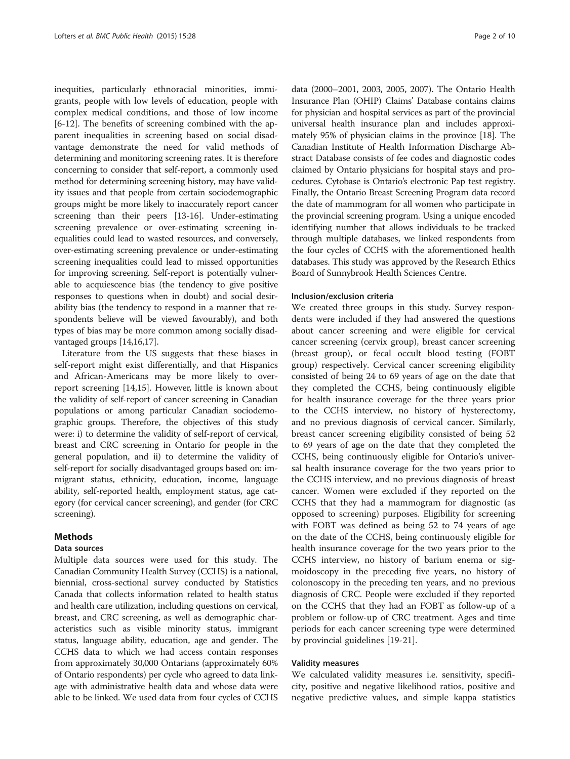inequities, particularly ethnoracial minorities, immigrants, people with low levels of education, people with complex medical conditions, and those of low income [[6-12](#page-9-0)]. The benefits of screening combined with the apparent inequalities in screening based on social disadvantage demonstrate the need for valid methods of determining and monitoring screening rates. It is therefore concerning to consider that self-report, a commonly used method for determining screening history, may have validity issues and that people from certain sociodemographic groups might be more likely to inaccurately report cancer screening than their peers [\[13-16\]](#page-9-0). Under-estimating screening prevalence or over-estimating screening inequalities could lead to wasted resources, and conversely, over-estimating screening prevalence or under-estimating screening inequalities could lead to missed opportunities for improving screening. Self-report is potentially vulnerable to acquiescence bias (the tendency to give positive responses to questions when in doubt) and social desirability bias (the tendency to respond in a manner that respondents believe will be viewed favourably), and both types of bias may be more common among socially disadvantaged groups [[14,16,17\]](#page-9-0).

Literature from the US suggests that these biases in self-report might exist differentially, and that Hispanics and African-Americans may be more likely to overreport screening [\[14,15](#page-9-0)]. However, little is known about the validity of self-report of cancer screening in Canadian populations or among particular Canadian sociodemographic groups. Therefore, the objectives of this study were: i) to determine the validity of self-report of cervical, breast and CRC screening in Ontario for people in the general population, and ii) to determine the validity of self-report for socially disadvantaged groups based on: immigrant status, ethnicity, education, income, language ability, self-reported health, employment status, age category (for cervical cancer screening), and gender (for CRC screening).

# Methods

#### Data sources

Multiple data sources were used for this study. The Canadian Community Health Survey (CCHS) is a national, biennial, cross-sectional survey conducted by Statistics Canada that collects information related to health status and health care utilization, including questions on cervical, breast, and CRC screening, as well as demographic characteristics such as visible minority status, immigrant status, language ability, education, age and gender. The CCHS data to which we had access contain responses from approximately 30,000 Ontarians (approximately 60% of Ontario respondents) per cycle who agreed to data linkage with administrative health data and whose data were able to be linked. We used data from four cycles of CCHS data (2000–2001, 2003, 2005, 2007). The Ontario Health Insurance Plan (OHIP) Claims' Database contains claims for physician and hospital services as part of the provincial universal health insurance plan and includes approximately 95% of physician claims in the province [\[18\]](#page-9-0). The Canadian Institute of Health Information Discharge Abstract Database consists of fee codes and diagnostic codes claimed by Ontario physicians for hospital stays and procedures. Cytobase is Ontario's electronic Pap test registry. Finally, the Ontario Breast Screening Program data record the date of mammogram for all women who participate in the provincial screening program. Using a unique encoded identifying number that allows individuals to be tracked through multiple databases, we linked respondents from the four cycles of CCHS with the aforementioned health databases. This study was approved by the Research Ethics Board of Sunnybrook Health Sciences Centre.

## Inclusion/exclusion criteria

We created three groups in this study. Survey respondents were included if they had answered the questions about cancer screening and were eligible for cervical cancer screening (cervix group), breast cancer screening (breast group), or fecal occult blood testing (FOBT group) respectively. Cervical cancer screening eligibility consisted of being 24 to 69 years of age on the date that they completed the CCHS, being continuously eligible for health insurance coverage for the three years prior to the CCHS interview, no history of hysterectomy, and no previous diagnosis of cervical cancer. Similarly, breast cancer screening eligibility consisted of being 52 to 69 years of age on the date that they completed the CCHS, being continuously eligible for Ontario's universal health insurance coverage for the two years prior to the CCHS interview, and no previous diagnosis of breast cancer. Women were excluded if they reported on the CCHS that they had a mammogram for diagnostic (as opposed to screening) purposes. Eligibility for screening with FOBT was defined as being 52 to 74 years of age on the date of the CCHS, being continuously eligible for health insurance coverage for the two years prior to the CCHS interview, no history of barium enema or sigmoidoscopy in the preceding five years, no history of colonoscopy in the preceding ten years, and no previous diagnosis of CRC. People were excluded if they reported on the CCHS that they had an FOBT as follow-up of a problem or follow-up of CRC treatment. Ages and time periods for each cancer screening type were determined by provincial guidelines [[19](#page-9-0)-[21\]](#page-9-0).

#### Validity measures

We calculated validity measures i.e. sensitivity, specificity, positive and negative likelihood ratios, positive and negative predictive values, and simple kappa statistics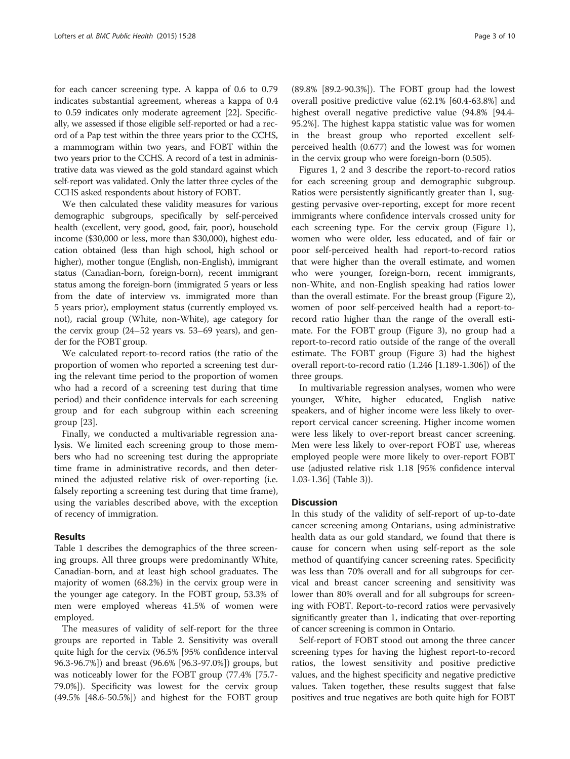for each cancer screening type. A kappa of 0.6 to 0.79 indicates substantial agreement, whereas a kappa of 0.4 to 0.59 indicates only moderate agreement [\[22\]](#page-9-0). Specifically, we assessed if those eligible self-reported or had a record of a Pap test within the three years prior to the CCHS, a mammogram within two years, and FOBT within the two years prior to the CCHS. A record of a test in administrative data was viewed as the gold standard against which self-report was validated. Only the latter three cycles of the CCHS asked respondents about history of FOBT.

We then calculated these validity measures for various demographic subgroups, specifically by self-perceived health (excellent, very good, good, fair, poor), household income (\$30,000 or less, more than \$30,000), highest education obtained (less than high school, high school or higher), mother tongue (English, non-English), immigrant status (Canadian-born, foreign-born), recent immigrant status among the foreign-born (immigrated 5 years or less from the date of interview vs. immigrated more than 5 years prior), employment status (currently employed vs. not), racial group (White, non-White), age category for the cervix group (24–52 years vs. 53–69 years), and gender for the FOBT group.

We calculated report-to-record ratios (the ratio of the proportion of women who reported a screening test during the relevant time period to the proportion of women who had a record of a screening test during that time period) and their confidence intervals for each screening group and for each subgroup within each screening group [[23\]](#page-9-0).

Finally, we conducted a multivariable regression analysis. We limited each screening group to those members who had no screening test during the appropriate time frame in administrative records, and then determined the adjusted relative risk of over-reporting (i.e. falsely reporting a screening test during that time frame), using the variables described above, with the exception of recency of immigration.

## Results

Table [1](#page-3-0) describes the demographics of the three screening groups. All three groups were predominantly White, Canadian-born, and at least high school graduates. The majority of women (68.2%) in the cervix group were in the younger age category. In the FOBT group, 53.3% of men were employed whereas 41.5% of women were employed.

The measures of validity of self-report for the three groups are reported in Table [2](#page-4-0). Sensitivity was overall quite high for the cervix (96.5% [95% confidence interval 96.3-96.7%]) and breast (96.6% [96.3-97.0%]) groups, but was noticeably lower for the FOBT group (77.4% [75.7- 79.0%]). Specificity was lowest for the cervix group (49.5% [48.6-50.5%]) and highest for the FOBT group

(89.8% [89.2-90.3%]). The FOBT group had the lowest overall positive predictive value (62.1% [60.4-63.8%] and highest overall negative predictive value (94.8% [94.4- 95.2%]. The highest kappa statistic value was for women in the breast group who reported excellent selfperceived health (0.677) and the lowest was for women in the cervix group who were foreign-born (0.505).

Figures [1,](#page-6-0) [2](#page-7-0) and [3](#page-7-0) describe the report-to-record ratios for each screening group and demographic subgroup. Ratios were persistently significantly greater than 1, suggesting pervasive over-reporting, except for more recent immigrants where confidence intervals crossed unity for each screening type. For the cervix group (Figure [1](#page-6-0)), women who were older, less educated, and of fair or poor self-perceived health had report-to-record ratios that were higher than the overall estimate, and women who were younger, foreign-born, recent immigrants, non-White, and non-English speaking had ratios lower than the overall estimate. For the breast group (Figure [2](#page-7-0)), women of poor self-perceived health had a report-torecord ratio higher than the range of the overall estimate. For the FOBT group (Figure [3](#page-7-0)), no group had a report-to-record ratio outside of the range of the overall estimate. The FOBT group (Figure [3\)](#page-7-0) had the highest overall report-to-record ratio (1.246 [1.189-1.306]) of the three groups.

In multivariable regression analyses, women who were younger, White, higher educated, English native speakers, and of higher income were less likely to overreport cervical cancer screening. Higher income women were less likely to over-report breast cancer screening. Men were less likely to over-report FOBT use, whereas employed people were more likely to over-report FOBT use (adjusted relative risk 1.18 [95% confidence interval 1.03-1.36] (Table [3](#page-8-0))).

### **Discussion**

In this study of the validity of self-report of up-to-date cancer screening among Ontarians, using administrative health data as our gold standard, we found that there is cause for concern when using self-report as the sole method of quantifying cancer screening rates. Specificity was less than 70% overall and for all subgroups for cervical and breast cancer screening and sensitivity was lower than 80% overall and for all subgroups for screening with FOBT. Report-to-record ratios were pervasively significantly greater than 1, indicating that over-reporting of cancer screening is common in Ontario.

Self-report of FOBT stood out among the three cancer screening types for having the highest report-to-record ratios, the lowest sensitivity and positive predictive values, and the highest specificity and negative predictive values. Taken together, these results suggest that false positives and true negatives are both quite high for FOBT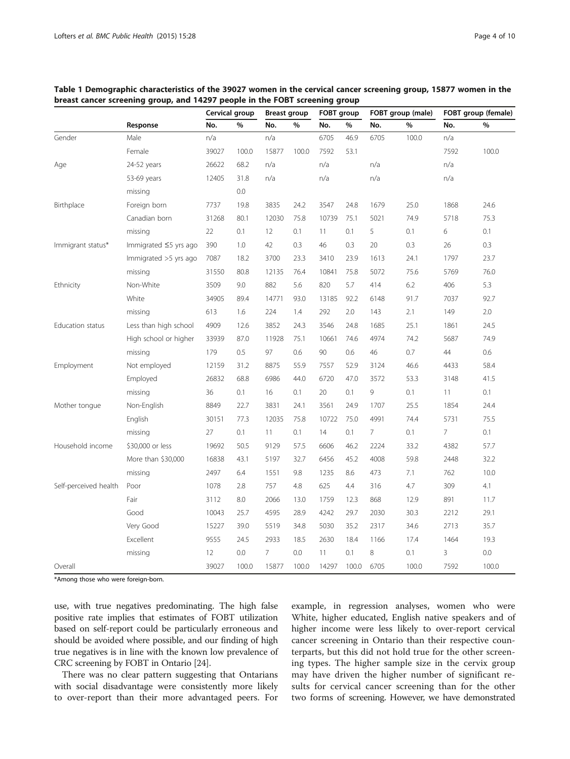<span id="page-3-0"></span>

| Table 1 Demographic characteristics of the 39027 women in the cervical cancer screening group, 15877 women in the |  |
|-------------------------------------------------------------------------------------------------------------------|--|
| breast cancer screening group, and 14297 people in the FOBT screening group                                       |  |

|                         |                       | Cervical group |       | <b>Breast group</b> |       | FOBT group | FOBT group (male) |      | FOBT group (female) |      |       |
|-------------------------|-----------------------|----------------|-------|---------------------|-------|------------|-------------------|------|---------------------|------|-------|
|                         | Response              | No.            | %     | No.                 | %     | No.        | %                 | No.  | %                   | No.  | %     |
| Gender                  | Male                  | n/a            |       | n/a                 |       | 6705       | 46.9              | 6705 | 100.0               | n/a  |       |
|                         | Female                | 39027          | 100.0 | 15877               | 100.0 | 7592       | 53.1              |      |                     | 7592 | 100.0 |
|                         | 24-52 years           | 26622          | 68.2  | n/a                 |       | n/a        |                   | n/a  |                     | n/a  |       |
| Age                     | 53-69 years           | 12405          | 31.8  | n/a                 |       | n/a        |                   | n/a  |                     | n/a  |       |
|                         |                       |                | 0.0   |                     |       |            |                   |      |                     |      |       |
|                         | missing               |                |       |                     |       |            |                   |      |                     |      |       |
| Birthplace              | Foreign born          | 7737           | 19.8  | 3835                | 24.2  | 3547       | 24.8              | 1679 | 25.0                | 1868 | 24.6  |
|                         | Canadian born         | 31268          | 80.1  | 12030               | 75.8  | 10739      | 75.1              | 5021 | 74.9                | 5718 | 75.3  |
|                         | missing               | 22             | 0.1   | 12                  | 0.1   | 11         | 0.1               | 5    | 0.1                 | 6    | 0.1   |
| Immigrant status*       | Immigrated ≤5 yrs ago | 390            | 1.0   | 42                  | 0.3   | 46         | 0.3               | 20   | 0.3                 | 26   | 0.3   |
|                         | Immigrated >5 yrs ago | 7087           | 18.2  | 3700                | 23.3  | 3410       | 23.9              | 1613 | 24.1                | 1797 | 23.7  |
|                         | missing               | 31550          | 80.8  | 12135               | 76.4  | 10841      | 75.8              | 5072 | 75.6                | 5769 | 76.0  |
| Ethnicity               | Non-White             | 3509           | 9.0   | 882                 | 5.6   | 820        | 5.7               | 414  | 6.2                 | 406  | 5.3   |
|                         | White                 | 34905          | 89.4  | 14771               | 93.0  | 13185      | 92.2              | 6148 | 91.7                | 7037 | 92.7  |
|                         | missing               | 613            | 1.6   | 224                 | 1.4   | 292        | 2.0               | 143  | 2.1                 | 149  | 2.0   |
| <b>Education status</b> | Less than high school | 4909           | 12.6  | 3852                | 24.3  | 3546       | 24.8              | 1685 | 25.1                | 1861 | 24.5  |
|                         | High school or higher | 33939          | 87.0  | 11928               | 75.1  | 10661      | 74.6              | 4974 | 74.2                | 5687 | 74.9  |
|                         | missing               | 179            | 0.5   | 97                  | 0.6   | 90         | 0.6               | 46   | 0.7                 | 44   | 0.6   |
| Employment              | Not employed          | 12159          | 31.2  | 8875                | 55.9  | 7557       | 52.9              | 3124 | 46.6                | 4433 | 58.4  |
|                         | Employed              | 26832          | 68.8  | 6986                | 44.0  | 6720       | 47.0              | 3572 | 53.3                | 3148 | 41.5  |
|                         | missing               | 36             | 0.1   | 16                  | 0.1   | 20         | 0.1               | 9    | 0.1                 | 11   | 0.1   |
| Mother tongue           | Non-English           | 8849           | 22.7  | 3831                | 24.1  | 3561       | 24.9              | 1707 | 25.5                | 1854 | 24.4  |
|                         | English               | 30151          | 77.3  | 12035               | 75.8  | 10722      | 75.0              | 4991 | 74.4                | 5731 | 75.5  |
|                         | missing               | 27             | 0.1   | 11                  | 0.1   | 14         | 0.1               | 7    | 0.1                 | 7    | 0.1   |
| Household income        | \$30,000 or less      | 19692          | 50.5  | 9129                | 57.5  | 6606       | 46.2              | 2224 | 33.2                | 4382 | 57.7  |
|                         | More than \$30,000    | 16838          | 43.1  | 5197                | 32.7  | 6456       | 45.2              | 4008 | 59.8                | 2448 | 32.2  |
|                         | missing               | 2497           | 6.4   | 1551                | 9.8   | 1235       | 8.6               | 473  | 7.1                 | 762  | 10.0  |
| Self-perceived health   | Poor                  | 1078           | 2.8   | 757                 | 4.8   | 625        | 4.4               | 316  | 4.7                 | 309  | 4.1   |
|                         | Fair                  | 3112           | 8.0   | 2066                | 13.0  | 1759       | 12.3              | 868  | 12.9                | 891  | 11.7  |
|                         | Good                  | 10043          | 25.7  | 4595                | 28.9  | 4242       | 29.7              | 2030 | 30.3                | 2212 | 29.1  |
|                         | Very Good             | 15227          | 39.0  | 5519                | 34.8  | 5030       | 35.2              | 2317 | 34.6                | 2713 | 35.7  |
|                         | Excellent             | 9555           | 24.5  | 2933                | 18.5  | 2630       | 18.4              | 1166 | 17.4                | 1464 | 19.3  |
|                         | missing               | 12             | 0.0   | 7                   | 0.0   | 11         | 0.1               | 8    | 0.1                 | 3    | 0.0   |
| Overall                 |                       | 39027          | 100.0 | 15877               | 100.0 | 14297      | 100.0             | 6705 | 100.0               | 7592 | 100.0 |

\*Among those who were foreign-born.

use, with true negatives predominating. The high false positive rate implies that estimates of FOBT utilization based on self-report could be particularly erroneous and should be avoided where possible, and our finding of high true negatives is in line with the known low prevalence of CRC screening by FOBT in Ontario [[24](#page-9-0)].

There was no clear pattern suggesting that Ontarians with social disadvantage were consistently more likely to over-report than their more advantaged peers. For

example, in regression analyses, women who were White, higher educated, English native speakers and of higher income were less likely to over-report cervical cancer screening in Ontario than their respective counterparts, but this did not hold true for the other screening types. The higher sample size in the cervix group may have driven the higher number of significant results for cervical cancer screening than for the other two forms of screening. However, we have demonstrated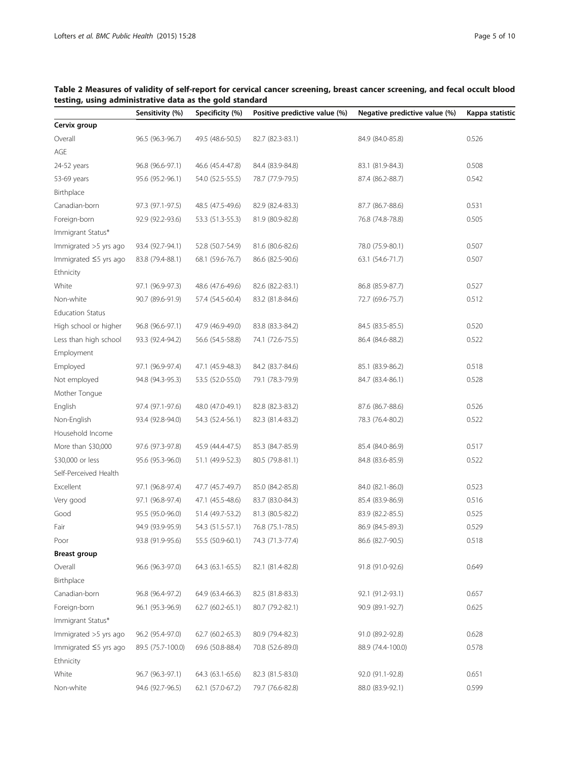|                             | Sensitivity (%)   | Specificity (%)  | Positive predictive value (%) | Negative predictive value (%) | Kappa statistic |
|-----------------------------|-------------------|------------------|-------------------------------|-------------------------------|-----------------|
| Cervix group                |                   |                  |                               |                               |                 |
| Overall                     | 96.5 (96.3-96.7)  | 49.5 (48.6-50.5) | 82.7 (82.3-83.1)              | 84.9 (84.0-85.8)              | 0.526           |
| $\mathsf{AGE}$              |                   |                  |                               |                               |                 |
| 24-52 years                 | 96.8 (96.6-97.1)  | 46.6 (45.4-47.8) | 84.4 (83.9-84.8)              | 83.1 (81.9-84.3)              | 0.508           |
| 53-69 years                 | 95.6 (95.2-96.1)  | 54.0 (52.5-55.5) | 78.7 (77.9-79.5)              | 87.4 (86.2-88.7)              | 0.542           |
| Birthplace                  |                   |                  |                               |                               |                 |
| Canadian-born               | 97.3 (97.1-97.5)  | 48.5 (47.5-49.6) | 82.9 (82.4-83.3)              | 87.7 (86.7-88.6)              | 0.531           |
| Foreign-born                | 92.9 (92.2-93.6)  | 53.3 (51.3-55.3) | 81.9 (80.9-82.8)              | 76.8 (74.8-78.8)              | 0.505           |
| Immigrant Status*           |                   |                  |                               |                               |                 |
| Immigrated >5 yrs ago       | 93.4 (92.7-94.1)  | 52.8 (50.7-54.9) | 81.6 (80.6-82.6)              | 78.0 (75.9-80.1)              | 0.507           |
| Immigrated $\leq$ 5 yrs ago | 83.8 (79.4-88.1)  | 68.1 (59.6-76.7) | 86.6 (82.5-90.6)              | 63.1 (54.6-71.7)              | 0.507           |
| Ethnicity                   |                   |                  |                               |                               |                 |
| White                       | 97.1 (96.9-97.3)  | 48.6 (47.6-49.6) | 82.6 (82.2-83.1)              | 86.8 (85.9-87.7)              | 0.527           |
| Non-white                   | 90.7 (89.6-91.9)  | 57.4 (54.5-60.4) | 83.2 (81.8-84.6)              | 72.7 (69.6-75.7)              | 0.512           |
| <b>Education Status</b>     |                   |                  |                               |                               |                 |
| High school or higher       | 96.8 (96.6-97.1)  | 47.9 (46.9-49.0) | 83.8 (83.3-84.2)              | 84.5 (83.5-85.5)              | 0.520           |
| Less than high school       | 93.3 (92.4-94.2)  | 56.6 (54.5-58.8) | 74.1 (72.6-75.5)              | 86.4 (84.6-88.2)              | 0.522           |
| Employment                  |                   |                  |                               |                               |                 |
| Employed                    | 97.1 (96.9-97.4)  | 47.1 (45.9-48.3) | 84.2 (83.7-84.6)              | 85.1 (83.9-86.2)              | 0.518           |
| Not employed                | 94.8 (94.3-95.3)  | 53.5 (52.0-55.0) | 79.1 (78.3-79.9)              | 84.7 (83.4-86.1)              | 0.528           |
| Mother Tongue               |                   |                  |                               |                               |                 |
| English                     | 97.4 (97.1-97.6)  | 48.0 (47.0-49.1) | 82.8 (82.3-83.2)              | 87.6 (86.7-88.6)              | 0.526           |
| Non-English                 | 93.4 (92.8-94.0)  | 54.3 (52.4-56.1) | 82.3 (81.4-83.2)              | 78.3 (76.4-80.2)              | 0.522           |
| Household Income            |                   |                  |                               |                               |                 |
| More than \$30,000          | 97.6 (97.3-97.8)  | 45.9 (44.4-47.5) | 85.3 (84.7-85.9)              | 85.4 (84.0-86.9)              | 0.517           |
| \$30,000 or less            | 95.6 (95.3-96.0)  | 51.1 (49.9-52.3) | 80.5 (79.8-81.1)              | 84.8 (83.6-85.9)              | 0.522           |
| Self-Perceived Health       |                   |                  |                               |                               |                 |
| Excellent                   | 97.1 (96.8-97.4)  | 47.7 (45.7-49.7) | 85.0 (84.2-85.8)              | 84.0 (82.1-86.0)              | 0.523           |
| Very good                   | 97.1 (96.8-97.4)  | 47.1 (45.5-48.6) | 83.7 (83.0-84.3)              | 85.4 (83.9-86.9)              | 0.516           |
| Good                        | 95.5 (95.0-96.0)  | 51.4 (49.7-53.2) | 81.3 (80.5-82.2)              | 83.9 (82.2-85.5)              | 0.525           |
| Fair                        | 94.9 (93.9-95.9)  | 54.3 (51.5-57.1) | 76.8 (75.1-78.5)              | 86.9 (84.5-89.3)              | 0.529           |
| Poor                        | 93.8 (91.9-95.6)  | 55.5 (50.9-60.1) | 74.3 (71.3-77.4)              | 86.6 (82.7-90.5)              | 0.518           |
| <b>Breast group</b>         |                   |                  |                               |                               |                 |
| Overall                     | 96.6 (96.3-97.0)  | 64.3 (63.1-65.5) | 82.1 (81.4-82.8)              | 91.8 (91.0-92.6)              | 0.649           |
| Birthplace                  |                   |                  |                               |                               |                 |
| Canadian-born               | 96.8 (96.4-97.2)  | 64.9 (63.4-66.3) | 82.5 (81.8-83.3)              | 92.1 (91.2-93.1)              | 0.657           |
| Foreign-born                | 96.1 (95.3-96.9)  | 62.7 (60.2-65.1) | 80.7 (79.2-82.1)              | 90.9 (89.1-92.7)              | 0.625           |
| Immigrant Status*           |                   |                  |                               |                               |                 |
| Immigrated >5 yrs ago       | 96.2 (95.4-97.0)  | 62.7 (60.2-65.3) | 80.9 (79.4-82.3)              | 91.0 (89.2-92.8)              | 0.628           |
| Immigrated ≤5 yrs ago       | 89.5 (75.7-100.0) | 69.6 (50.8-88.4) | 70.8 (52.6-89.0)              | 88.9 (74.4-100.0)             | 0.578           |
| Ethnicity                   |                   |                  |                               |                               |                 |
| White                       | 96.7 (96.3-97.1)  | 64.3 (63.1-65.6) | 82.3 (81.5-83.0)              | 92.0 (91.1-92.8)              | 0.651           |
| Non-white                   | 94.6 (92.7-96.5)  | 62.1 (57.0-67.2) | 79.7 (76.6-82.8)              | 88.0 (83.9-92.1)              | 0.599           |

<span id="page-4-0"></span>Table 2 Measures of validity of self-report for cervical cancer screening, breast cancer screening, and fecal occult blood testing, using administrative data as the gold standard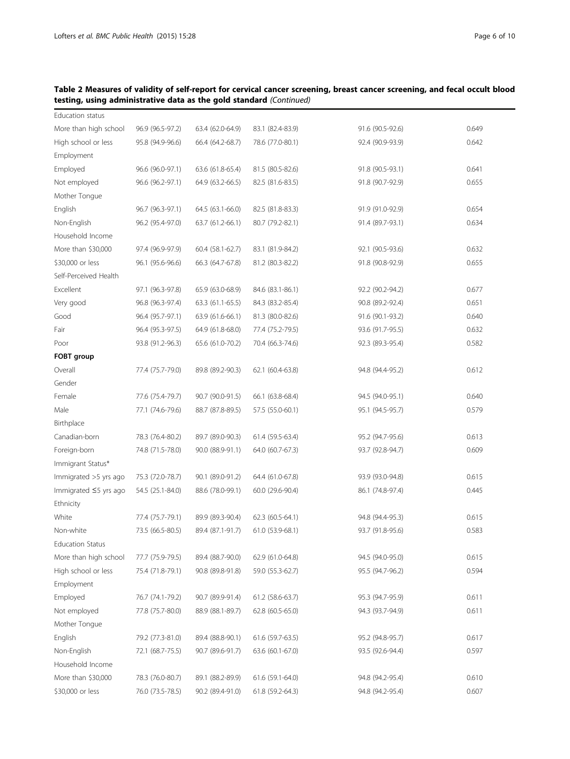# Table 2 Measures of validity of self-report for cervical cancer screening, breast cancer screening, and fecal occult blood testing, using administrative data as the gold standard (Continued)

| Education status            |                  |                  |                  |                  |       |
|-----------------------------|------------------|------------------|------------------|------------------|-------|
| More than high school       | 96.9 (96.5-97.2) | 63.4 (62.0-64.9) | 83.1 (82.4-83.9) | 91.6 (90.5-92.6) | 0.649 |
| High school or less         | 95.8 (94.9-96.6) | 66.4 (64.2-68.7) | 78.6 (77.0-80.1) | 92.4 (90.9-93.9) | 0.642 |
| Employment                  |                  |                  |                  |                  |       |
| Employed                    | 96.6 (96.0-97.1) | 63.6 (61.8-65.4) | 81.5 (80.5-82.6) | 91.8 (90.5-93.1) | 0.641 |
| Not employed                | 96.6 (96.2-97.1) | 64.9 (63.2-66.5) | 82.5 (81.6-83.5) | 91.8 (90.7-92.9) | 0.655 |
| Mother Tongue               |                  |                  |                  |                  |       |
| English                     | 96.7 (96.3-97.1) | 64.5 (63.1-66.0) | 82.5 (81.8-83.3) | 91.9 (91.0-92.9) | 0.654 |
| Non-English                 | 96.2 (95.4-97.0) | 63.7 (61.2-66.1) | 80.7 (79.2-82.1) | 91.4 (89.7-93.1) | 0.634 |
| Household Income            |                  |                  |                  |                  |       |
| More than \$30,000          | 97.4 (96.9-97.9) | 60.4 (58.1-62.7) | 83.1 (81.9-84.2) | 92.1 (90.5-93.6) | 0.632 |
| \$30,000 or less            | 96.1 (95.6-96.6) | 66.3 (64.7-67.8) | 81.2 (80.3-82.2) | 91.8 (90.8-92.9) | 0.655 |
| Self-Perceived Health       |                  |                  |                  |                  |       |
| Excellent                   | 97.1 (96.3-97.8) | 65.9 (63.0-68.9) | 84.6 (83.1-86.1) | 92.2 (90.2-94.2) | 0.677 |
| Very good                   | 96.8 (96.3-97.4) | 63.3 (61.1-65.5) | 84.3 (83.2-85.4) | 90.8 (89.2-92.4) | 0.651 |
| Good                        | 96.4 (95.7-97.1) | 63.9 (61.6-66.1) | 81.3 (80.0-82.6) | 91.6 (90.1-93.2) | 0.640 |
| Fair                        | 96.4 (95.3-97.5) | 64.9 (61.8-68.0) | 77.4 (75.2-79.5) | 93.6 (91.7-95.5) | 0.632 |
| Poor                        | 93.8 (91.2-96.3) | 65.6 (61.0-70.2) | 70.4 (66.3-74.6) | 92.3 (89.3-95.4) | 0.582 |
| FOBT group                  |                  |                  |                  |                  |       |
| Overall                     | 77.4 (75.7-79.0) | 89.8 (89.2-90.3) | 62.1 (60.4-63.8) | 94.8 (94.4-95.2) | 0.612 |
| Gender                      |                  |                  |                  |                  |       |
| Female                      | 77.6 (75.4-79.7) | 90.7 (90.0-91.5) | 66.1 (63.8-68.4) | 94.5 (94.0-95.1) | 0.640 |
| Male                        | 77.1 (74.6-79.6) | 88.7 (87.8-89.5) | 57.5 (55.0-60.1) | 95.1 (94.5-95.7) | 0.579 |
| Birthplace                  |                  |                  |                  |                  |       |
| Canadian-born               | 78.3 (76.4-80.2) | 89.7 (89.0-90.3) | 61.4 (59.5-63.4) | 95.2 (94.7-95.6) | 0.613 |
| Foreign-born                | 74.8 (71.5-78.0) | 90.0 (88.9-91.1) | 64.0 (60.7-67.3) | 93.7 (92.8-94.7) | 0.609 |
| Immigrant Status*           |                  |                  |                  |                  |       |
| Immigrated >5 yrs ago       | 75.3 (72.0-78.7) | 90.1 (89.0-91.2) | 64.4 (61.0-67.8) | 93.9 (93.0-94.8) | 0.615 |
| Immigrated $\leq$ 5 yrs ago | 54.5 (25.1-84.0) | 88.6 (78.0-99.1) | 60.0 (29.6-90.4) | 86.1 (74.8-97.4) | 0.445 |
| Ethnicity                   |                  |                  |                  |                  |       |
| White                       | 77.4 (75.7-79.1) | 89.9 (89.3-90.4) | 62.3 (60.5-64.1) | 94.8 (94.4-95.3) | 0.615 |
| Non-white                   | 73.5 (66.5-80.5) | 89.4 (87.1-91.7) | 61.0 (53.9-68.1) | 93.7 (91.8-95.6) | 0.583 |
| <b>Education Status</b>     |                  |                  |                  |                  |       |
| More than high school       | 77.7 (75.9-79.5) | 89.4 (88.7-90.0) | 62.9 (61.0-64.8) | 94.5 (94.0-95.0) | 0.615 |
| High school or less         | 75.4 (71.8-79.1) | 90.8 (89.8-91.8) | 59.0 (55.3-62.7) | 95.5 (94.7-96.2) | 0.594 |
| Employment                  |                  |                  |                  |                  |       |
| Employed                    | 76.7 (74.1-79.2) | 90.7 (89.9-91.4) | 61.2 (58.6-63.7) | 95.3 (94.7-95.9) | 0.611 |
| Not employed                | 77.8 (75.7-80.0) | 88.9 (88.1-89.7) | 62.8 (60.5-65.0) | 94.3 (93.7-94.9) | 0.611 |
| Mother Tongue               |                  |                  |                  |                  |       |
| English                     | 79.2 (77.3-81.0) | 89.4 (88.8-90.1) | 61.6 (59.7-63.5) | 95.2 (94.8-95.7) | 0.617 |
| Non-English                 | 72.1 (68.7-75.5) | 90.7 (89.6-91.7) | 63.6 (60.1-67.0) | 93.5 (92.6-94.4) | 0.597 |
| Household Income            |                  |                  |                  |                  |       |
| More than \$30,000          | 78.3 (76.0-80.7) | 89.1 (88.2-89.9) | 61.6 (59.1-64.0) | 94.8 (94.2-95.4) | 0.610 |
| \$30,000 or less            | 76.0 (73.5-78.5) | 90.2 (89.4-91.0) | 61.8 (59.2-64.3) | 94.8 (94.2-95.4) | 0.607 |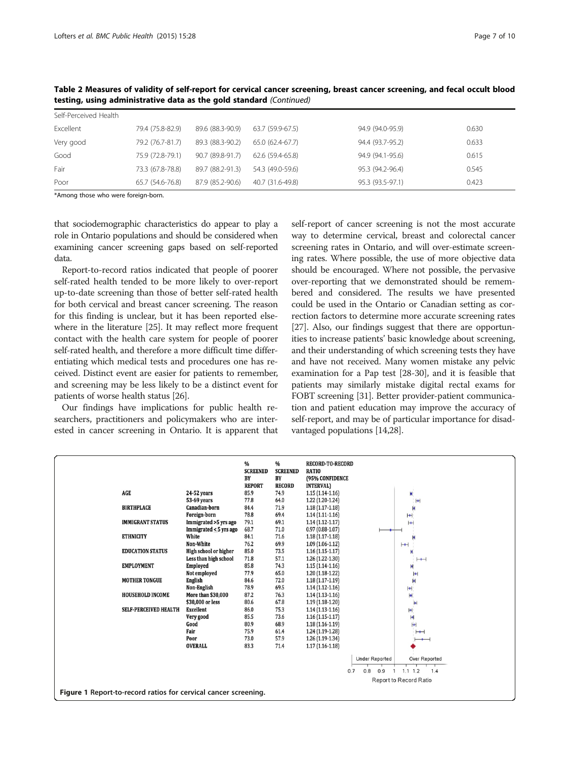| Self-Perceived Health |                  |                  |                  |                  |       |
|-----------------------|------------------|------------------|------------------|------------------|-------|
| Excellent             | 79.4 (75.8-82.9) | 89.6 (88.3-90.9) | 63.7 (59.9-67.5) | 94.9 (94.0-95.9) | 0.630 |
| Very good             | 79.2 (76.7-81.7) | 89.3 (88.3-90.2) | 65.0 (62.4-67.7) | 94.4 (93.7-95.2) | 0.633 |
| Good                  | 75.9 (72.8-79.1) | 90.7 (89.8-91.7) | 62.6 (59.4-65.8) | 94.9 (94.1-95.6) | 0.615 |
| Fair                  | 73.3 (67.8-78.8) | 89.7 (88.2-91.3) | 54.3 (49.0-59.6) | 95.3 (94.2-96.4) | 0.545 |
| Poor                  | 65.7 (54.6-76.8) | 87.9 (85.2-90.6) | 40.7 (31.6-49.8) | 95.3 (93.5-97.1) | 0.423 |

<span id="page-6-0"></span>Table 2 Measures of validity of self-report for cervical cancer screening, breast cancer screening, and fecal occult blood testing, using administrative data as the gold standard (Continued)

\*Among those who were foreign-born.

that sociodemographic characteristics do appear to play a role in Ontario populations and should be considered when examining cancer screening gaps based on self-reported data.

Report-to-record ratios indicated that people of poorer self-rated health tended to be more likely to over-report up-to-date screening than those of better self-rated health for both cervical and breast cancer screening. The reason for this finding is unclear, but it has been reported elsewhere in the literature [\[25\]](#page-9-0). It may reflect more frequent contact with the health care system for people of poorer self-rated health, and therefore a more difficult time differentiating which medical tests and procedures one has received. Distinct event are easier for patients to remember, and screening may be less likely to be a distinct event for patients of worse health status [\[26\]](#page-9-0).

Our findings have implications for public health researchers, practitioners and policymakers who are interested in cancer screening in Ontario. It is apparent that self-report of cancer screening is not the most accurate way to determine cervical, breast and colorectal cancer screening rates in Ontario, and will over-estimate screening rates. Where possible, the use of more objective data should be encouraged. Where not possible, the pervasive over-reporting that we demonstrated should be remembered and considered. The results we have presented could be used in the Ontario or Canadian setting as correction factors to determine more accurate screening rates [[27](#page-9-0)]. Also, our findings suggest that there are opportunities to increase patients' basic knowledge about screening, and their understanding of which screening tests they have and have not received. Many women mistake any pelvic examination for a Pap test [\[28](#page-9-0)-[30](#page-9-0)], and it is feasible that patients may similarly mistake digital rectal exams for FOBT screening [[31](#page-9-0)]. Better provider-patient communication and patient education may improve the accuracy of self-report, and may be of particular importance for disadvantaged populations [\[14,28\]](#page-9-0).

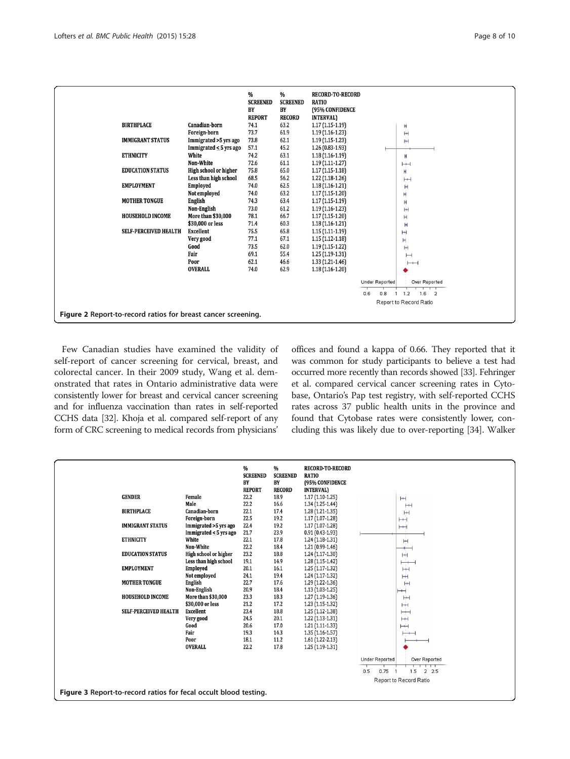<span id="page-7-0"></span>

Few Canadian studies have examined the validity of self-report of cancer screening for cervical, breast, and colorectal cancer. In their 2009 study, Wang et al. demonstrated that rates in Ontario administrative data were consistently lower for breast and cervical cancer screening and for influenza vaccination than rates in self-reported CCHS data [\[32\]](#page-9-0). Khoja et al. compared self-report of any form of CRC screening to medical records from physicians'

offices and found a kappa of 0.66. They reported that it was common for study participants to believe a test had occurred more recently than records showed [\[33\]](#page-9-0). Fehringer et al. compared cervical cancer screening rates in Cytobase, Ontario's Pap test registry, with self-reported CCHS rates across 37 public health units in the province and found that Cytobase rates were consistently lower, concluding this was likely due to over-reporting [\[34\]](#page-9-0). Walker

|                                                                  |                             | $\%$<br><b>SCREENED</b><br>BY<br><b>REPORT</b> | %<br><b>SCREENED</b><br>BY<br><b>RECORD</b> | <b>RECORD-TO-RECORD</b><br><b>RATIO</b><br>(95% CONFIDENCE<br><b>INTERVAL)</b> |                                             |
|------------------------------------------------------------------|-----------------------------|------------------------------------------------|---------------------------------------------|--------------------------------------------------------------------------------|---------------------------------------------|
| <b>GENDER</b>                                                    | Female                      | 22.2                                           | 18.9                                        | $1.17(1.10-1.25)$                                                              | $\mathbf{H}$                                |
|                                                                  | Male                        | 22.2                                           | 16.6                                        | 1.34 (1.25-1.44)                                                               | $^+$                                        |
| <b>BIRTHPLACE</b>                                                | Canadian-born               | 22.1                                           | 17.4                                        | $1.28(1.21-1.35)$                                                              | ⊬                                           |
|                                                                  | Foreign-born                | 22.5                                           | 19.2                                        | 1.17 (1.07-1.28)                                                               | Н                                           |
| <b>IMMIGRANT STATUS</b>                                          | Immigrated >5 yrs ago       | 22.4                                           | 19.2                                        | 1.17 (1.07-1.28)                                                               | H                                           |
|                                                                  | Immigrated $\leq$ 5 yrs ago | 21.7                                           | 23.9                                        | $0.91(0.43-1.93)$                                                              |                                             |
| <b>ETHNICITY</b>                                                 | White                       | 22.1                                           | 17.8                                        | 1.24 (1.18-1.31)                                                               | н                                           |
|                                                                  | Non-White                   | 22.2                                           | 18.4                                        | 1.21 (0.99-1.46)                                                               |                                             |
| <b>EDUCATION STATUS</b>                                          | High school or higher       | 23.2                                           | 18.8                                        | 1.24 (1.17-1.30)                                                               | н                                           |
|                                                                  | Less than high school       | 19.1                                           | 14.9                                        | $1.28(1.15-1.42)$                                                              |                                             |
| <b>EMPLOYMENT</b>                                                | Employed                    | 20.1                                           | 16.1                                        | 1.25 (1.17-1.32)                                                               | H                                           |
|                                                                  | Not employed                | 24.1                                           | 19.4                                        | 1.24 (1.17-1.32)                                                               | Н                                           |
| <b>MOTHER TONGUE</b>                                             | English                     | 22.7                                           | 17.6                                        | 1.29 (1.22-1.36)                                                               | Ĥ.                                          |
|                                                                  | Non-English                 | 20.9                                           | 18.4                                        | $1.13(1.03-1.25)$                                                              | $\overline{\phantom{0}}$                    |
| <b>HOUSEHOLD INCOME</b>                                          | More than \$30,000          | 23.3                                           | 18.3                                        | 1.27 (1.19-1.36)                                                               | HH                                          |
|                                                                  | \$30,000 or less            | 21.2                                           | 17.2                                        | 1.23 (1.15-1.32)                                                               | $\mapsto$                                   |
| <b>SELF-PERCEIVED HEALTH</b>                                     | Excellent                   | 23.4                                           | 18.8                                        | 1.25 (1.12-1.38)                                                               | $\mathrel{\mathop{\mapsto}\,}$              |
|                                                                  | Very good                   | 24.5                                           | 20.1                                        | 1.22 (1.13-1.31)                                                               | Н                                           |
|                                                                  | Good                        | 20.6                                           | 17.0                                        | $1.21(1.11-1.33)$                                                              | ΗН                                          |
|                                                                  | Fair<br>Poor                | 19.3<br>18.1                                   | 14.3<br>11.2                                | 1.35 (1.16-1.57)                                                               |                                             |
|                                                                  | <b>OVERALL</b>              | 22.2                                           | 17.8                                        | $1.61(1.22 - 2.13)$<br>$1.25(1.19-1.31)$                                       |                                             |
|                                                                  |                             |                                                |                                             |                                                                                |                                             |
|                                                                  |                             |                                                |                                             |                                                                                | <b>Under Reported</b><br>Over Reported      |
|                                                                  |                             |                                                |                                             |                                                                                | 1.5<br>0.5<br>0.75<br>2.5<br>$\overline{1}$ |
|                                                                  |                             |                                                |                                             |                                                                                | Report to Record Ratio                      |
| Figure 3 Report-to-record ratios for fecal occult blood testing. |                             |                                                |                                             |                                                                                |                                             |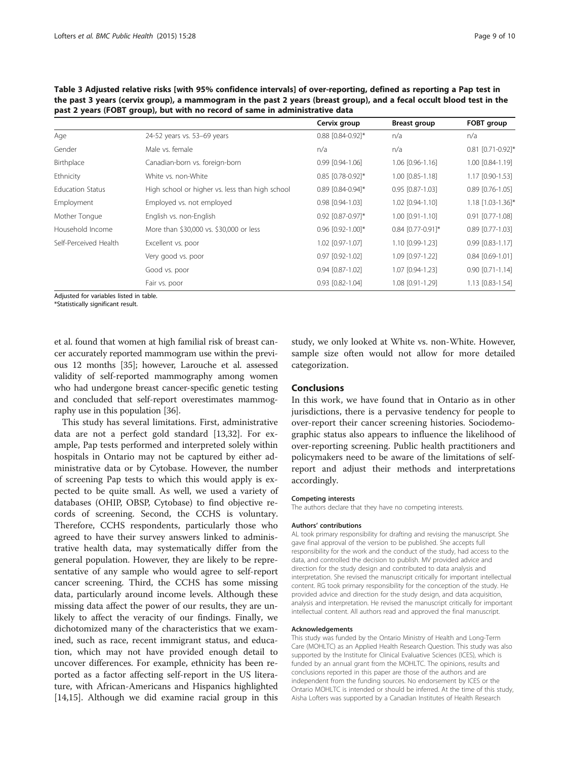<span id="page-8-0"></span>

| Table 3 Adjusted relative risks [with 95% confidence intervals] of over-reporting, defined as reporting a Pap test in |
|-----------------------------------------------------------------------------------------------------------------------|
| the past 3 years (cervix group), a mammogram in the past 2 years (breast group), and a fecal occult blood test in the |
| past 2 years (FOBT group), but with no record of same in administrative data                                          |

|                         |                                                 | Cervix group           | <b>Breast group</b> | FOBT group               |
|-------------------------|-------------------------------------------------|------------------------|---------------------|--------------------------|
| Age                     | 24-52 years vs. 53-69 years                     | 0.88 [0.84-0.92]*      | n/a                 | n/a                      |
| Gender                  | Male vs. female                                 | n/a                    | n/a                 | $0.81$ $[0.71 - 0.92]$ * |
| Birthplace              | Canadian-born vs. foreign-born                  | $0.99$ $[0.94 - 1.06]$ | 1.06 [0.96-1.16]    | 1.00 [0.84-1.19]         |
| Ethnicity               | White vs. non-White                             | 0.85 [0.78-0.92]*      | 1.00 [0.85-1.18]    | 1.17 [0.90-1.53]         |
| <b>Education Status</b> | High school or higher vs. less than high school | 0.89 [0.84-0.94]*      | 0.95 [0.87-1.03]    | $0.89$ $[0.76 - 1.05]$   |
| Employment              | Employed vs. not employed                       | 0.98 [0.94-1.03]       | 1.02 [0.94-1.10]    | 1.18 [1.03-1.36]*        |
| Mother Tongue           | English vs. non-English                         | 0.92 [0.87-0.97]*      | 1.00 [0.91-1.10]    | $0.91$ $[0.77 - 1.08]$   |
| Household Income        | More than \$30,000 vs. \$30,000 or less         | 0.96 [0.92-1.00]*      | $0.84$ [0.77-0.91]* | $0.89$ [0.77-1.03]       |
| Self-Perceived Health   | Excellent vs. poor                              | 1.02 [0.97-1.07]       | 1.10 [0.99-1.23]    | $0.99$ $[0.83 - 1.17]$   |
|                         | Very good vs. poor                              | $0.97$ $[0.92 - 1.02]$ | 1.09 [0.97-1.22]    | $0.84$ [0.69-1.01]       |
|                         | Good vs. poor                                   | $0.94$ $[0.87 - 1.02]$ | 1.07 [0.94-1.23]    | $0.90$ $[0.71 - 1.14]$   |
|                         | Fair vs. poor                                   | 0.93 [0.82-1.04]       | 1.08 [0.91-1.29]    | 1.13 [0.83-1.54]         |

Adjusted for variables listed in table.

\*Statistically significant result.

et al. found that women at high familial risk of breast cancer accurately reported mammogram use within the previous 12 months [[35\]](#page-9-0); however, Larouche et al. assessed validity of self-reported mammography among women who had undergone breast cancer-specific genetic testing and concluded that self-report overestimates mammography use in this population [\[36\]](#page-9-0).

This study has several limitations. First, administrative data are not a perfect gold standard [\[13,32\]](#page-9-0). For example, Pap tests performed and interpreted solely within hospitals in Ontario may not be captured by either administrative data or by Cytobase. However, the number of screening Pap tests to which this would apply is expected to be quite small. As well, we used a variety of databases (OHIP, OBSP, Cytobase) to find objective records of screening. Second, the CCHS is voluntary. Therefore, CCHS respondents, particularly those who agreed to have their survey answers linked to administrative health data, may systematically differ from the general population. However, they are likely to be representative of any sample who would agree to self-report cancer screening. Third, the CCHS has some missing data, particularly around income levels. Although these missing data affect the power of our results, they are unlikely to affect the veracity of our findings. Finally, we dichotomized many of the characteristics that we examined, such as race, recent immigrant status, and education, which may not have provided enough detail to uncover differences. For example, ethnicity has been reported as a factor affecting self-report in the US literature, with African-Americans and Hispanics highlighted [[14,15\]](#page-9-0). Although we did examine racial group in this study, we only looked at White vs. non-White. However, sample size often would not allow for more detailed categorization.

#### Conclusions

In this work, we have found that in Ontario as in other jurisdictions, there is a pervasive tendency for people to over-report their cancer screening histories. Sociodemographic status also appears to influence the likelihood of over-reporting screening. Public health practitioners and policymakers need to be aware of the limitations of selfreport and adjust their methods and interpretations accordingly.

#### Competing interests

The authors declare that they have no competing interests.

#### Authors' contributions

AL took primary responsibility for drafting and revising the manuscript. She gave final approval of the version to be published. She accepts full responsibility for the work and the conduct of the study, had access to the data, and controlled the decision to publish. MV provided advice and direction for the study design and contributed to data analysis and interpretation. She revised the manuscript critically for important intellectual content. RG took primary responsibility for the conception of the study. He provided advice and direction for the study design, and data acquisition, analysis and interpretation. He revised the manuscript critically for important intellectual content. All authors read and approved the final manuscript.

#### Acknowledgements

This study was funded by the Ontario Ministry of Health and Long-Term Care (MOHLTC) as an Applied Health Research Question. This study was also supported by the Institute for Clinical Evaluative Sciences (ICES), which is funded by an annual grant from the MOHLTC. The opinions, results and conclusions reported in this paper are those of the authors and are independent from the funding sources. No endorsement by ICES or the Ontario MOHLTC is intended or should be inferred. At the time of this study, Aisha Lofters was supported by a Canadian Institutes of Health Research